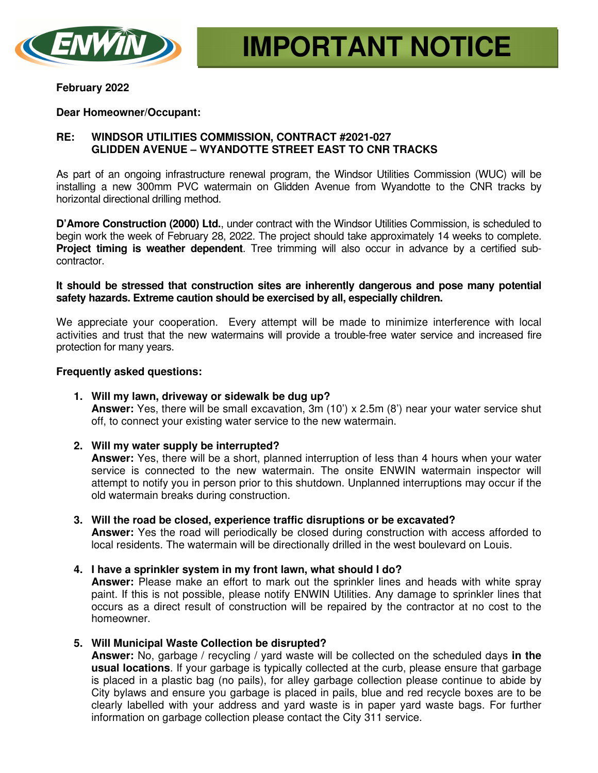

### **February 2022**

## **Dear Homeowner/Occupant:**

# **RE: WINDSOR UTILITIES COMMISSION, CONTRACT #2021-027 GLIDDEN AVENUE – WYANDOTTE STREET EAST TO CNR TRACKS**

As part of an ongoing infrastructure renewal program, the Windsor Utilities Commission (WUC) will be installing a new 300mm PVC watermain on Glidden Avenue from Wyandotte to the CNR tracks by horizontal directional drilling method.

**D'Amore Construction (2000) Ltd.**, under contract with the Windsor Utilities Commission, is scheduled to begin work the week of February 28, 2022. The project should take approximately 14 weeks to complete. **Project timing is weather dependent**. Tree trimming will also occur in advance by a certified subcontractor.

## **It should be stressed that construction sites are inherently dangerous and pose many potential safety hazards. Extreme caution should be exercised by all, especially children.**

We appreciate your cooperation. Every attempt will be made to minimize interference with local activities and trust that the new watermains will provide a trouble-free water service and increased fire protection for many years.

## **Frequently asked questions:**

- **1. Will my lawn, driveway or sidewalk be dug up? Answer:** Yes, there will be small excavation, 3m (10') x 2.5m (8') near your water service shut off, to connect your existing water service to the new watermain.
- **2. Will my water supply be interrupted?**

**Answer:** Yes, there will be a short, planned interruption of less than 4 hours when your water service is connected to the new watermain. The onsite ENWIN watermain inspector will attempt to notify you in person prior to this shutdown. Unplanned interruptions may occur if the old watermain breaks during construction.

- **3. Will the road be closed, experience traffic disruptions or be excavated? Answer:** Yes the road will periodically be closed during construction with access afforded to local residents. The watermain will be directionally drilled in the west boulevard on Louis.
- **4. I have a sprinkler system in my front lawn, what should I do?**

**Answer:** Please make an effort to mark out the sprinkler lines and heads with white spray paint. If this is not possible, please notify ENWIN Utilities. Any damage to sprinkler lines that occurs as a direct result of construction will be repaired by the contractor at no cost to the homeowner.

**5. Will Municipal Waste Collection be disrupted?** 

**Answer:** No, garbage / recycling / yard waste will be collected on the scheduled days **in the usual locations**. If your garbage is typically collected at the curb, please ensure that garbage is placed in a plastic bag (no pails), for alley garbage collection please continue to abide by City bylaws and ensure you garbage is placed in pails, blue and red recycle boxes are to be clearly labelled with your address and yard waste is in paper yard waste bags. For further information on garbage collection please contact the City 311 service.